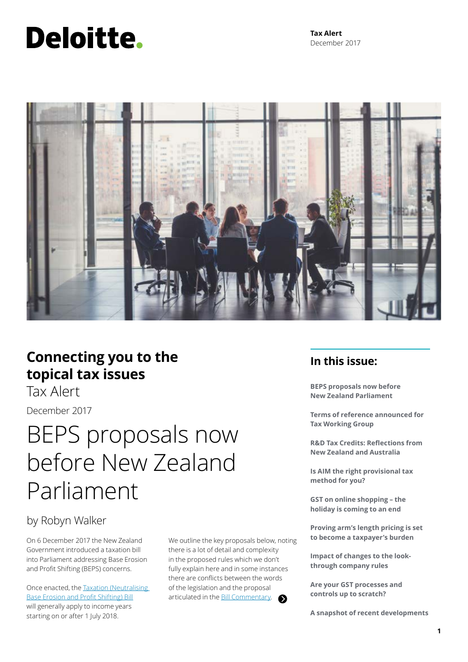# Deloitte.



### **Connecting you to the topical tax issues**

Tax Alert

December 2017

## BEPS proposals now before New Zealand Parliament

### by Robyn Walker

On 6 December 2017 the New Zealand Government introduced a taxation bill into Parliament addressing Base Erosion and Profit Shifting (BEPS) concerns.

Once enacted, the [Taxation \(Neutralising](http://www.legislation.govt.nz/bill/government/2017/0003/3.0/versions.aspx)  [Base Erosion and Profit Shifting\) Bill](http://www.legislation.govt.nz/bill/government/2017/0003/3.0/versions.aspx) will generally apply to income years starting on or after 1 July 2018.

We outline the key proposals below, noting there is a lot of detail and complexity in the proposed rules which we don't fully explain here and in some instances there are conflicts between the words of the legislation and the proposal articulated in the **Bill Commentary**. Δ

### **In this issue:**

**BEPS proposals now before New Zealand Parliament** 

**Terms of reference announced for Tax Working Group** 

**R&D Tax Credits: Reflections from New Zealand and Australia** 

**Is AIM the right provisional tax method for you?** 

**GST on online shopping – the holiday is coming to an end**

**Proving arm's length pricing is set to become a taxpayer's burden**

**Impact of changes to the lookthrough company rules** 

**Are your GST processes and controls up to scratch?** 

**A snapshot of recent developments**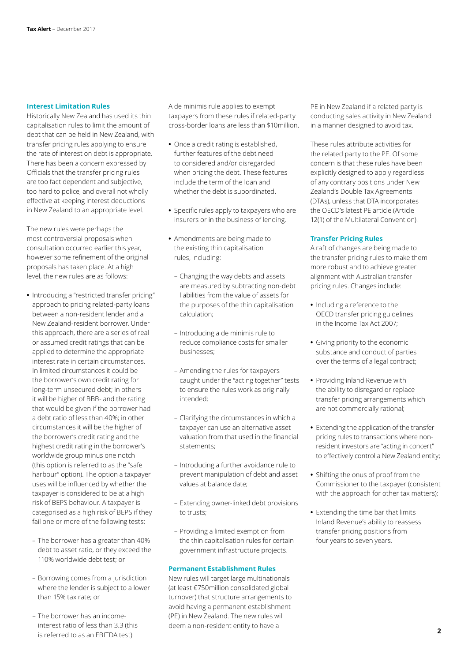#### **Interest Limitation Rules**

Historically New Zealand has used its thin capitalisation rules to limit the amount of debt that can be held in New Zealand, with transfer pricing rules applying to ensure the rate of interest on debt is appropriate. There has been a concern expressed by Officials that the transfer pricing rules are too fact dependent and subjective, too hard to police, and overall not wholly effective at keeping interest deductions in New Zealand to an appropriate level.

The new rules were perhaps the most controversial proposals when consultation occurred earlier this year, however some refinement of the original proposals has taken place. At a high level, the new rules are as follows:

- **•** Introducing a "restricted transfer pricing" approach to pricing related-party loans between a non-resident lender and a New Zealand-resident borrower. Under this approach, there are a series of real or assumed credit ratings that can be applied to determine the appropriate interest rate in certain circumstances. In limited circumstances it could be the borrower's own credit rating for long-term unsecured debt; in others it will be higher of BBB- and the rating that would be given if the borrower had a debt ratio of less than 40%; in other circumstances it will be the higher of the borrower's credit rating and the highest credit rating in the borrower's worldwide group minus one notch (this option is referred to as the "safe harbour" option). The option a taxpayer uses will be influenced by whether the taxpayer is considered to be at a high risk of BEPS behaviour. A taxpayer is categorised as a high risk of BEPS if they fail one or more of the following tests:
	- The borrower has a greater than 40% debt to asset ratio, or they exceed the 110% worldwide debt test; or
	- Borrowing comes from a jurisdiction where the lender is subject to a lower than 15% tax rate; or
	- The borrower has an incomeinterest ratio of less than 3.3 (this is referred to as an EBITDA test).

A de minimis rule applies to exempt taxpayers from these rules if related-party cross-border loans are less than \$10million.

- **•** Once a credit rating is established, further features of the debt need to considered and/or disregarded when pricing the debt. These features include the term of the loan and whether the debt is subordinated.
- **•** Specific rules apply to taxpayers who are insurers or in the business of lending.
- **•** Amendments are being made to the existing thin capitalisation rules, including:
	- Changing the way debts and assets are measured by subtracting non-debt liabilities from the value of assets for the purposes of the thin capitalisation calculation;
- Introducing a de minimis rule to reduce compliance costs for smaller businesses;
- Amending the rules for taxpayers caught under the "acting together" tests to ensure the rules work as originally intended;
- Clarifying the circumstances in which a taxpayer can use an alternative asset valuation from that used in the financial statements;
- Introducing a further avoidance rule to prevent manipulation of debt and asset values at balance date;
- Extending owner-linked debt provisions to trusts;
- Providing a limited exemption from the thin capitalisation rules for certain government infrastructure projects.

#### **Permanent Establishment Rules**

New rules will target large multinationals (at least €750million consolidated global turnover) that structure arrangements to avoid having a permanent establishment (PE) in New Zealand. The new rules will deem a non-resident entity to have a

PE in New Zealand if a related party is conducting sales activity in New Zealand in a manner designed to avoid tax.

These rules attribute activities for the related party to the PE. Of some concern is that these rules have been explicitly designed to apply regardless of any contrary positions under New Zealand's Double Tax Agreements (DTAs), unless that DTA incorporates the OECD's latest PE article (Article 12(1) of the Multilateral Convention).

#### **Transfer Pricing Rules**

A raft of changes are being made to the transfer pricing rules to make them more robust and to achieve greater alignment with Australian transfer pricing rules. Changes include:

- **•** Including a reference to the OECD transfer pricing guidelines in the Income Tax Act 2007;
- **•** Giving priority to the economic substance and conduct of parties over the terms of a legal contract;
- **•** Providing Inland Revenue with the ability to disregard or replace transfer pricing arrangements which are not commercially rational;
- **•** Extending the application of the transfer pricing rules to transactions where nonresident investors are "acting in concert" to effectively control a New Zealand entity;
- **•** Shifting the onus of proof from the Commissioner to the taxpayer (consistent with the approach for other tax matters);
- **•** Extending the time bar that limits Inland Revenue's ability to reassess transfer pricing positions from four years to seven years.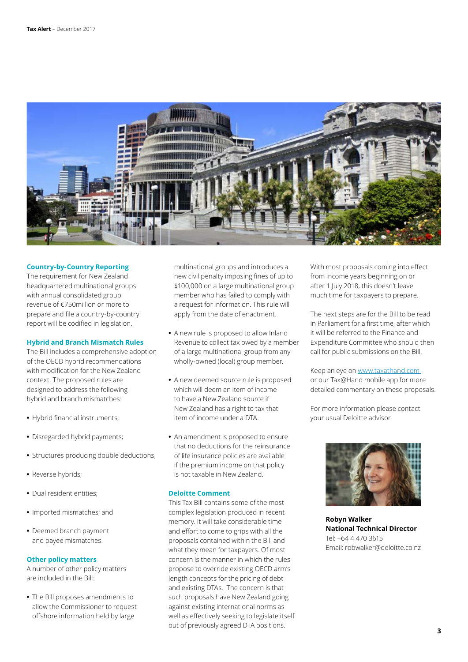

#### **Country-by-Country Reporting**

The requirement for New Zealand headquartered multinational groups with annual consolidated group revenue of €750million or more to prepare and file a country-by-country report will be codified in legislation.

#### **Hybrid and Branch Mismatch Rules**

The Bill includes a comprehensive adoption of the OECD hybrid recommendations with modification for the New Zealand context. The proposed rules are designed to address the following hybrid and branch mismatches:

- **•** Hybrid financial instruments;
- **•** Disregarded hybrid payments;
- **•** Structures producing double deductions;
- **•** Reverse hybrids;
- **•** Dual resident entities;
- **•** Imported mismatches; and
- **•** Deemed branch payment and payee mismatches.

#### **Other policy matters**

A number of other policy matters are included in the Bill:

**•** The Bill proposes amendments to allow the Commissioner to request offshore information held by large

multinational groups and introduces a new civil penalty imposing fines of up to \$100,000 on a large multinational group member who has failed to comply with a request for information. This rule will apply from the date of enactment.

- **•** A new rule is proposed to allow Inland Revenue to collect tax owed by a member of a large multinational group from any wholly-owned (local) group member.
- **•** A new deemed source rule is proposed which will deem an item of income to have a New Zealand source if New Zealand has a right to tax that item of income under a DTA.
- **•** An amendment is proposed to ensure that no deductions for the reinsurance of life insurance policies are available if the premium income on that policy is not taxable in New Zealand.

#### **Deloitte Comment**

This Tax Bill contains some of the most complex legislation produced in recent memory. It will take considerable time and effort to come to grips with all the proposals contained within the Bill and what they mean for taxpayers. Of most concern is the manner in which the rules propose to override existing OECD arm's length concepts for the pricing of debt and existing DTAs. The concern is that such proposals have New Zealand going against existing international norms as well as effectively seeking to legislate itself out of previously agreed DTA positions.

With most proposals coming into effect from income years beginning on or after 1 July 2018, this doesn't leave much time for taxpayers to prepare.

The next steps are for the Bill to be read in Parliament for a first time, after which it will be referred to the Finance and Expenditure Committee who should then call for public submissions on the Bill.

Keep an eye on [www.taxathand.com](http://www.taxathand.com/)  or our Tax@Hand mobile app for more detailed commentary on these proposals.

For more information please contact your usual Deloitte advisor.



**Robyn Walker National Technical Director** Tel: +64 4 470 3615 Email: robwalker@deloitte.co.nz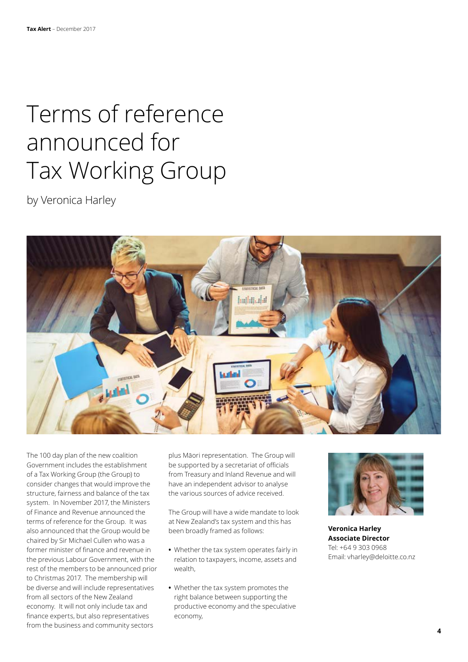## Terms of reference announced for Tax Working Group

by Veronica Harley



The 100 day plan of the new coalition Government includes the establishment of a Tax Working Group (the Group) to consider changes that would improve the structure, fairness and balance of the tax system. In November 2017, the Ministers of Finance and Revenue announced the terms of reference for the Group. It was also announced that the Group would be chaired by Sir Michael Cullen who was a former minister of finance and revenue in the previous Labour Government, with the rest of the members to be announced prior to Christmas 2017. The membership will be diverse and will include representatives from all sectors of the New Zealand economy. It will not only include tax and finance experts, but also representatives from the business and community sectors

plus Māori representation. The Group will be supported by a secretariat of officials from Treasury and Inland Revenue and will have an independent advisor to analyse the various sources of advice received.

The Group will have a wide mandate to look at New Zealand's tax system and this has been broadly framed as follows:

- **•** Whether the tax system operates fairly in relation to taxpayers, income, assets and wealth,
- **•** Whether the tax system promotes the right balance between supporting the productive economy and the speculative economy,



**Veronica Harley Associate Director** Tel: +64 9 303 0968 Email: vharley@deloitte.co.nz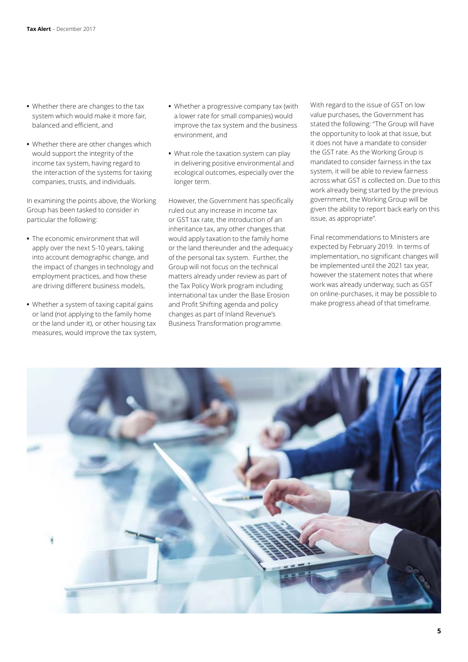- **•** Whether there are changes to the tax system which would make it more fair, balanced and efficient, and
- **•** Whether there are other changes which would support the integrity of the income tax system, having regard to the interaction of the systems for taxing companies, trusts, and individuals.

In examining the points above, the Working Group has been tasked to consider in particular the following:

- **•** The economic environment that will apply over the next 5-10 years, taking into account demographic change, and the impact of changes in technology and employment practices, and how these are driving different business models,
- **•** Whether a system of taxing capital gains or land (not applying to the family home or the land under it), or other housing tax measures, would improve the tax system,
- **•** Whether a progressive company tax (with a lower rate for small companies) would improve the tax system and the business environment, and
- **•** What role the taxation system can play in delivering positive environmental and ecological outcomes, especially over the longer term.

However, the Government has specifically ruled out any increase in income tax or GST tax rate, the introduction of an inheritance tax, any other changes that would apply taxation to the family home or the land thereunder and the adequacy of the personal tax system. Further, the Group will not focus on the technical matters already under review as part of the Tax Policy Work program including international tax under the Base Erosion and Profit Shifting agenda and policy changes as part of Inland Revenue's Business Transformation programme.

With regard to the issue of GST on low value purchases, the Government has stated the following: "The Group will have the opportunity to look at that issue, but it does not have a mandate to consider the GST rate. As the Working Group is mandated to consider fairness in the tax system, it will be able to review fairness across what GST is collected on. Due to this work already being started by the previous government, the Working Group will be given the ability to report back early on this issue, as appropriate".

Final recommendations to Ministers are expected by February 2019. In terms of implementation, no significant changes will be implemented until the 2021 tax year, however the statement notes that where work was already underway, such as GST on online-purchases, it may be possible to make progress ahead of that timeframe.

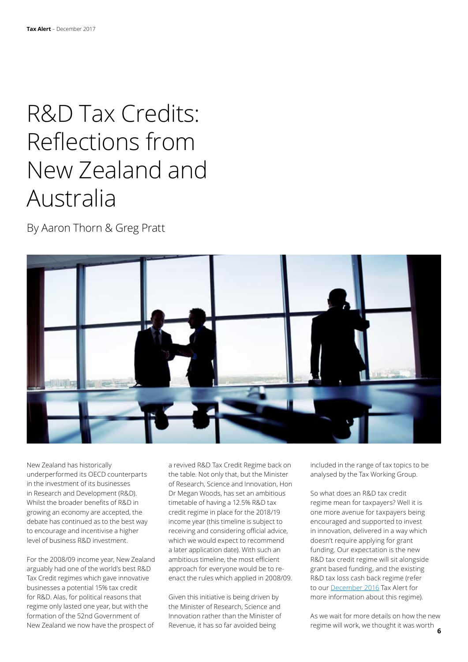## R&D Tax Credits: Reflections from New Zealand and Australia

By Aaron Thorn & Greg Pratt



New Zealand has historically underperformed its OECD counterparts in the investment of its businesses in Research and Development (R&D). Whilst the broader benefits of R&D in growing an economy are accepted, the debate has continued as to the best way to encourage and incentivise a higher level of business R&D investment.

For the 2008/09 income year, New Zealand arguably had one of the world's best R&D Tax Credit regimes which gave innovative businesses a potential 15% tax credit for R&D. Alas, for political reasons that regime only lasted one year, but with the formation of the 52nd Government of New Zealand we now have the prospect of

a revived R&D Tax Credit Regime back on the table. Not only that, but the Minister of Research, Science and Innovation, Hon Dr Megan Woods, has set an ambitious timetable of having a 12.5% R&D tax credit regime in place for the 2018/19 income year (this timeline is subject to receiving and considering official advice, which we would expect to recommend a later application date). With such an ambitious timeline, the most efficient approach for everyone would be to reenact the rules which applied in 2008/09.

Given this initiative is being driven by the Minister of Research, Science and Innovation rather than the Minister of Revenue, it has so far avoided being

included in the range of tax topics to be analysed by the Tax Working Group.

So what does an R&D tax credit regime mean for taxpayers? Well it is one more avenue for taxpayers being encouraged and supported to invest in innovation, delivered in a way which doesn't require applying for grant funding. Our expectation is the new R&D tax credit regime will sit alongside grant based funding, and the existing R&D tax loss cash back regime (refer to our [December 2016](https://www2.deloitte.com/nz/en/pages/tax-alerts/articles/r-and-tax-credits-our-experience-to-date.html) Tax Alert for more information about this regime).

**6** regime will work, we thought it was worth As we wait for more details on how the new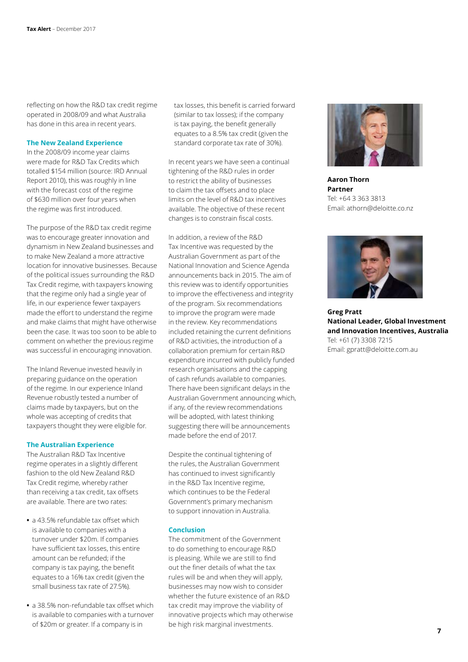reflecting on how the R&D tax credit regime operated in 2008/09 and what Australia has done in this area in recent years.

#### **The New Zealand Experience**

In the 2008/09 income year claims were made for R&D Tax Credits which totalled \$154 million (source: IRD Annual Report 2010), this was roughly in line with the forecast cost of the regime of \$630 million over four years when the regime was first introduced.

The purpose of the R&D tax credit regime was to encourage greater innovation and dynamism in New Zealand businesses and to make New Zealand a more attractive location for innovative businesses. Because of the political issues surrounding the R&D Tax Credit regime, with taxpayers knowing that the regime only had a single year of life, in our experience fewer taxpayers made the effort to understand the regime and make claims that might have otherwise been the case. It was too soon to be able to comment on whether the previous regime was successful in encouraging innovation.

The Inland Revenue invested heavily in preparing guidance on the operation of the regime. In our experience Inland Revenue robustly tested a number of claims made by taxpayers, but on the whole was accepting of credits that taxpayers thought they were eligible for.

#### **The Australian Experience**

The Australian R&D Tax Incentive regime operates in a slightly different fashion to the old New Zealand R&D Tax Credit regime, whereby rather than receiving a tax credit, tax offsets are available. There are two rates:

- **•** a 43.5% refundable tax offset which is available to companies with a turnover under \$20m. If companies have sufficient tax losses, this entire amount can be refunded; if the company is tax paying, the benefit equates to a 16% tax credit (given the small business tax rate of 27.5%).
- **•** a 38.5% non-refundable tax offset which is available to companies with a turnover of \$20m or greater. If a company is in

tax losses, this benefit is carried forward (similar to tax losses); if the company is tax paying, the benefit generally equates to a 8.5% tax credit (given the standard corporate tax rate of 30%).

In recent years we have seen a continual tightening of the R&D rules in order to restrict the ability of businesses to claim the tax offsets and to place limits on the level of R&D tax incentives available. The objective of these recent changes is to constrain fiscal costs.

In addition, a review of the R&D Tax Incentive was requested by the Australian Government as part of the National Innovation and Science Agenda announcements back in 2015. The aim of this review was to identify opportunities to improve the effectiveness and integrity of the program. Six recommendations to improve the program were made in the review. Key recommendations included retaining the current definitions of R&D activities, the introduction of a collaboration premium for certain R&D expenditure incurred with publicly funded research organisations and the capping of cash refunds available to companies. There have been significant delays in the Australian Government announcing which, if any, of the review recommendations will be adopted, with latest thinking suggesting there will be announcements made before the end of 2017.

Despite the continual tightening of the rules, the Australian Government has continued to invest significantly in the R&D Tax Incentive regime, which continues to be the Federal Government's primary mechanism to support innovation in Australia.

#### **Conclusion**

The commitment of the Government to do something to encourage R&D is pleasing. While we are still to find out the finer details of what the tax rules will be and when they will apply, businesses may now wish to consider whether the future existence of an R&D tax credit may improve the viability of innovative projects which may otherwise be high risk marginal investments.



**Aaron Thorn Partner** Tel: +64 3 363 3813 Email: athorn@deloitte.co.nz



**Greg Pratt National Leader, Global Investment and Innovation Incentives, Australia** Tel: +61 (7) 3308 7215 Email: gpratt@deloitte.com.au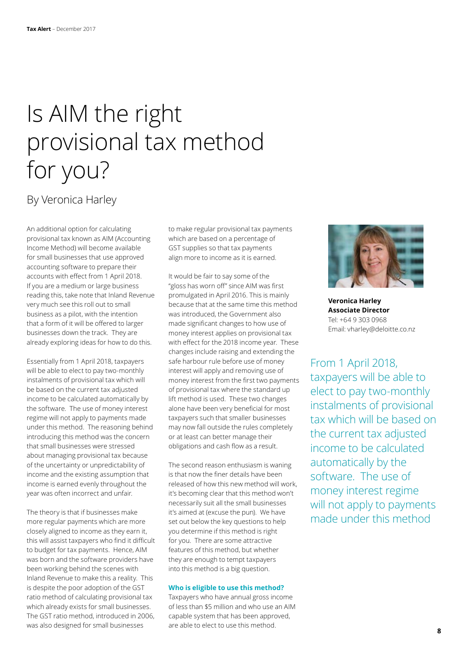## Is AIM the right provisional tax method for you?

### By Veronica Harley

An additional option for calculating provisional tax known as AIM (Accounting Income Method) will become available for small businesses that use approved accounting software to prepare their accounts with effect from 1 April 2018. If you are a medium or large business reading this, take note that Inland Revenue very much see this roll out to small business as a pilot, with the intention that a form of it will be offered to larger businesses down the track. They are already exploring ideas for how to do this.

Essentially from 1 April 2018, taxpayers will be able to elect to pay two-monthly instalments of provisional tax which will be based on the current tax adjusted income to be calculated automatically by the software. The use of money interest regime will not apply to payments made under this method. The reasoning behind introducing this method was the concern that small businesses were stressed about managing provisional tax because of the uncertainty or unpredictability of income and the existing assumption that income is earned evenly throughout the year was often incorrect and unfair.

The theory is that if businesses make more regular payments which are more closely aligned to income as they earn it, this will assist taxpayers who find it difficult to budget for tax payments. Hence, AIM was born and the software providers have been working behind the scenes with Inland Revenue to make this a reality. This is despite the poor adoption of the GST ratio method of calculating provisional tax which already exists for small businesses. The GST ratio method, introduced in 2006, was also designed for small businesses

to make regular provisional tax payments which are based on a percentage of GST supplies so that tax payments align more to income as it is earned.

It would be fair to say some of the "gloss has worn off" since AIM was first promulgated in April 2016. This is mainly because that at the same time this method was introduced, the Government also made significant changes to how use of money interest applies on provisional tax with effect for the 2018 income year. These changes include raising and extending the safe harbour rule before use of money interest will apply and removing use of money interest from the first two payments of provisional tax where the standard up lift method is used. These two changes alone have been very beneficial for most taxpayers such that smaller businesses may now fall outside the rules completely or at least can better manage their obligations and cash flow as a result.

The second reason enthusiasm is waning is that now the finer details have been released of how this new method will work, it's becoming clear that this method won't necessarily suit all the small businesses it's aimed at (excuse the pun). We have set out below the key questions to help you determine if this method is right for you. There are some attractive features of this method, but whether they are enough to tempt taxpayers into this method is a big question.

#### **Who is eligible to use this method?**

Taxpayers who have annual gross income of less than \$5 million and who use an AIM capable system that has been approved, are able to elect to use this method.



**Veronica Harley Associate Director** Tel: +64 9 303 0968 Email: vharley@deloitte.co.nz

From 1 April 2018, taxpayers will be able to elect to pay two-monthly instalments of provisional tax which will be based on the current tax adjusted income to be calculated automatically by the software. The use of money interest regime will not apply to payments made under this method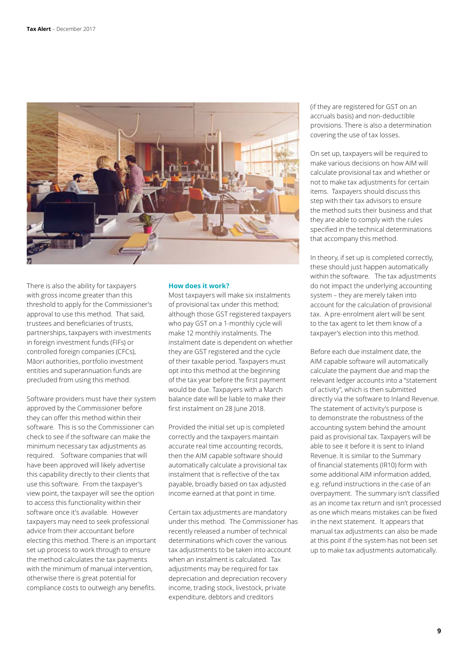

There is also the ability for taxpayers with gross income greater than this threshold to apply for the Commissioner's approval to use this method. That said, trustees and beneficiaries of trusts, partnerships, taxpayers with investments in foreign investment funds (FIFs) or controlled foreign companies (CFCs), Māori authorities, portfolio investment entities and superannuation funds are precluded from using this method.

Software providers must have their system approved by the Commissioner before they can offer this method within their software. This is so the Commissioner can check to see if the software can make the minimum necessary tax adjustments as required. Software companies that will have been approved will likely advertise this capability directly to their clients that use this software. From the taxpayer's view point, the taxpayer will see the option to access this functionality within their software once it's available. However taxpayers may need to seek professional advice from their accountant before electing this method. There is an important set up process to work through to ensure the method calculates the tax payments with the minimum of manual intervention, otherwise there is great potential for compliance costs to outweigh any benefits.

#### **How does it work?**

Most taxpayers will make six instalments of provisional tax under this method; although those GST registered taxpayers who pay GST on a 1-monthly cycle will make 12 monthly instalments. The instalment date is dependent on whether they are GST registered and the cycle of their taxable period. Taxpayers must opt into this method at the beginning of the tax year before the first payment would be due. Taxpayers with a March balance date will be liable to make their first instalment on 28 June 2018.

Provided the initial set up is completed correctly and the taxpayers maintain accurate real time accounting records, then the AIM capable software should automatically calculate a provisional tax instalment that is reflective of the tax payable, broadly based on tax adjusted income earned at that point in time.

Certain tax adjustments are mandatory under this method. The Commissioner has recently released a number of technical determinations which cover the various tax adjustments to be taken into account when an instalment is calculated. Tax adjustments may be required for tax depreciation and depreciation recovery income, trading stock, livestock, private expenditure, debtors and creditors

(if they are registered for GST on an accruals basis) and non-deductible provisions. There is also a determination covering the use of tax losses.

On set up, taxpayers will be required to make various decisions on how AIM will calculate provisional tax and whether or not to make tax adjustments for certain items. Taxpayers should discuss this step with their tax advisors to ensure the method suits their business and that they are able to comply with the rules specified in the technical determinations that accompany this method.

In theory, if set up is completed correctly, these should just happen automatically within the software. The tax adjustments do not impact the underlying accounting system – they are merely taken into account for the calculation of provisional tax. A pre-enrolment alert will be sent to the tax agent to let them know of a taxpayer's election into this method.

Before each due instalment date, the AIM capable software will automatically calculate the payment due and map the relevant ledger accounts into a "statement of activity", which is then submitted directly via the software to Inland Revenue. The statement of activity's purpose is to demonstrate the robustness of the accounting system behind the amount paid as provisional tax. Taxpayers will be able to see it before it is sent to Inland Revenue. It is similar to the Summary of financial statements (IR10) form with some additional AIM information added, e.g. refund instructions in the case of an overpayment. The summary isn't classified as an income tax return and isn't processed as one which means mistakes can be fixed in the next statement. It appears that manual tax adjustments can also be made at this point if the system has not been set up to make tax adjustments automatically.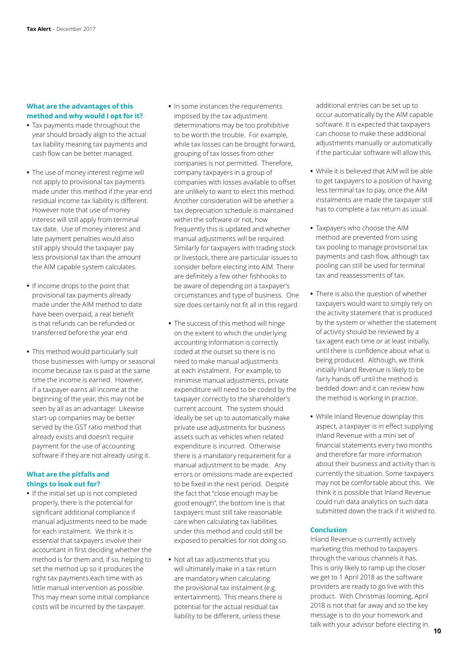#### **What are the advantages of this method and why would I opt for it?**

- **•** Tax payments made throughout the year should broadly align to the actual tax liability meaning tax payments and cash flow can be better managed.
- **•** The use of money interest regime will not apply to provisional tax payments made under this method if the year-end residual income tax liability is different. However note that use of money interest will still apply from terminal tax date. Use of money interest and late payment penalties would also still apply should the taxpayer pay less provisional tax than the amount the AIM capable system calculates.
- **•** If income drops to the point that provisional tax payments already made under the AIM method to date have been overpaid, a real benefit is that refunds can be refunded or transferred before the year end.
- **•** This method would particularly suit those businesses with lumpy or seasonal income because tax is paid at the same time the income is earned. However, if a taxpayer earns all income at the beginning of the year, this may not be seen by all as an advantage! Likewise start-up companies may be better served by the GST ratio method that already exists and doesn't require payment for the use of accounting software if they are not already using it.

#### **What are the pitfalls and things to look out for?**

**•** If the initial set up is not completed properly, there is the potential for significant additional compliance if manual adjustments need to be made for each instalment. We think it is essential that taxpayers involve their accountant in first deciding whether the method is for them and, if so, helping to set the method up so it produces the right tax payments each time with as little manual intervention as possible. This may mean some initial compliance costs will be incurred by the taxpayer.

- **•** In some instances the requirements imposed by the tax adjustment determinations may be too prohibitive to be worth the trouble. For example, while tax losses can be brought forward, grouping of tax losses from other companies is not permitted. Therefore, company taxpayers in a group of companies with losses available to offset are unlikely to want to elect this method. Another consideration will be whether a tax depreciation schedule is maintained within the software or not, how frequently this is updated and whether manual adjustments will be required. Similarly for taxpayers with trading stock or livestock, there are particular issues to consider before electing into AIM. There are definitely a few other fishhooks to be aware of depending on a taxpayer's circumstances and type of business. One size does certainly not fit all in this regard.
- **•** The success of this method will hinge on the extent to which the underlying accounting information is correctly coded at the outset so there is no need to make manual adjustments at each instalment. For example, to minimise manual adjustments, private expenditure will need to be coded by the taxpayer correctly to the shareholder's current account. The system should ideally be set up to automatically make private use adjustments for business assets such as vehicles when related expenditure is incurred. Otherwise there is a mandatory requirement for a manual adjustment to be made. Any errors or omissions made are expected to be fixed in the next period. Despite the fact that "close enough may be good enough", the bottom line is that taxpayers must still take reasonable care when calculating tax liabilities under this method and could still be exposed to penalties for not doing so.
- **•** Not all tax adjustments that you will ultimately make in a tax return are mandatory when calculating the provisional tax instalment (e.g. entertainment). This means there is potential for the actual residual tax liability to be different, unless these

additional entries can be set up to occur automatically by the AIM capable software. It is expected that taxpayers can choose to make these additional adjustments manually or automatically if the particular software will allow this.

- **•** While it is believed that AIM will be able to get taxpayers to a position of having less terminal tax to pay, once the AIM instalments are made the taxpayer still has to complete a tax return as usual.
- **•** Taxpayers who choose the AIM method are prevented from using tax pooling to manage provisional tax payments and cash flow, although tax pooling can still be used for terminal tax and reassessments of tax.
- **•** There is also the question of whether taxpayers would want to simply rely on the activity statement that is produced by the system or whether the statement of activity should be reviewed by a tax agent each time or at least initially, until there is confidence about what is being produced. Although, we think initially Inland Revenue is likely to be fairly hands off until the method is bedded down and it can review how the method is working in practice.
- **•** While Inland Revenue downplay this aspect, a taxpayer is in effect supplying Inland Revenue with a mini set of financial statements every two months and therefore far more information about their business and activity than is currently the situation. Some taxpayers may not be comfortable about this. We think it is possible that Inland Revenue could run data analytics on such data submitted down the track if it wished to.

#### **Conclusion**

Inland Revenue is currently actively marketing this method to taxpayers through the various channels it has. This is only likely to ramp up the closer we get to 1 April 2018 as the software providers are ready to go live with this product. With Christmas looming, April 2018 is not that far away and so the key message is to do your homework and talk with your advisor before electing in.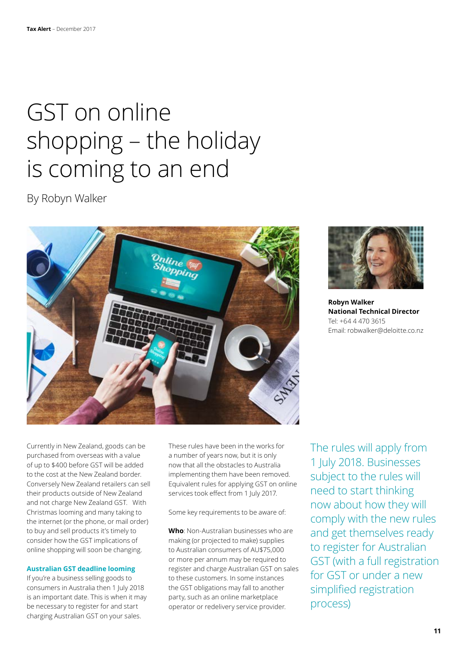## GST on online shopping – the holiday is coming to an end

By Robyn Walker





**Robyn Walker National Technical Director** Tel: +64 4 470 3615 Email: robwalker@deloitte.co.nz

Currently in New Zealand, goods can be purchased from overseas with a value of up to \$400 before GST will be added to the cost at the New Zealand border. Conversely New Zealand retailers can sell their products outside of New Zealand and not charge New Zealand GST. With Christmas looming and many taking to the internet (or the phone, or mail order) to buy and sell products it's timely to consider how the GST implications of online shopping will soon be changing.

#### **Australian GST deadline looming**

If you're a business selling goods to consumers in Australia then 1 July 2018 is an important date. This is when it may be necessary to register for and start charging Australian GST on your sales.

These rules have been in the works for a number of years now, but it is only now that all the obstacles to Australia implementing them have been removed. Equivalent rules for applying GST on online services took effect from 1 July 2017.

Some key requirements to be aware of:

**Who**: Non-Australian businesses who are making (or projected to make) supplies to Australian consumers of AU\$75,000 or more per annum may be required to register and charge Australian GST on sales to these customers. In some instances the GST obligations may fall to another party, such as an online marketplace operator or redelivery service provider.

The rules will apply from 1 July 2018. Businesses subject to the rules will need to start thinking now about how they will comply with the new rules and get themselves ready to register for Australian GST (with a full registration for GST or under a new simplified registration process)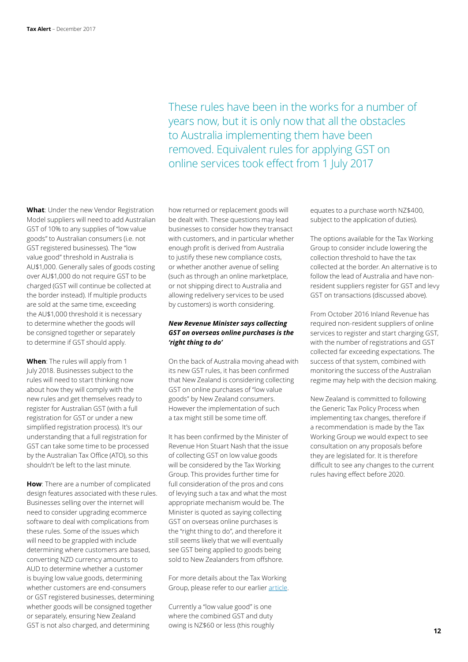These rules have been in the works for a number of years now, but it is only now that all the obstacles to Australia implementing them have been removed. Equivalent rules for applying GST on online services took effect from 1 July 2017

**What**: Under the new Vendor Registration Model suppliers will need to add Australian GST of 10% to any supplies of "low value goods" to Australian consumers (i.e. not GST registered businesses). The "low value good" threshold in Australia is AU\$1,000. Generally sales of goods costing over AU\$1,000 do not require GST to be charged (GST will continue be collected at the border instead). If multiple products are sold at the same time, exceeding the AU\$1,000 threshold it is necessary to determine whether the goods will be consigned together or separately to determine if GST should apply.

**When**: The rules will apply from 1 July 2018. Businesses subject to the rules will need to start thinking now about how they will comply with the new rules and get themselves ready to register for Australian GST (with a full registration for GST or under a new simplified registration process). It's our understanding that a full registration for GST can take some time to be processed by the Australian Tax Office (ATO), so this shouldn't be left to the last minute.

**How**: There are a number of complicated design features associated with these rules. Businesses selling over the internet will need to consider upgrading ecommerce software to deal with complications from these rules. Some of the issues which will need to be grappled with include determining where customers are based, converting NZD currency amounts to AUD to determine whether a customer is buying low value goods, determining whether customers are end-consumers or GST registered businesses, determining whether goods will be consigned together or separately, ensuring New Zealand GST is not also charged, and determining

how returned or replacement goods will be dealt with. These questions may lead businesses to consider how they transact with customers, and in particular whether enough profit is derived from Australia to justify these new compliance costs, or whether another avenue of selling (such as through an online marketplace, or not shipping direct to Australia and allowing redelivery services to be used by customers) is worth considering.

#### *New Revenue Minister says collecting GST on overseas online purchases is the 'right thing to do'*

On the back of Australia moving ahead with its new GST rules, it has been confirmed that New Zealand is considering collecting GST on online purchases of "low value goods" by New Zealand consumers. However the implementation of such a tax might still be some time off.

It has been confirmed by the Minister of Revenue Hon Stuart Nash that the issue of collecting GST on low value goods will be considered by the Tax Working Group. This provides further time for full consideration of the pros and cons of levying such a tax and what the most appropriate mechanism would be. The Minister is quoted as saying collecting GST on overseas online purchases is the "right thing to do", and therefore it still seems likely that we will eventually see GST being applied to goods being sold to New Zealanders from offshore.

For more details about the Tax Working Group, please refer to our earlier [article](https://www.taxathand.com/article/7693/New-Zealand/2017/The-tax-policies-of-the-new-coalition-government).

Currently a "low value good" is one where the combined GST and duty owing is NZ\$60 or less (this roughly equates to a purchase worth NZ\$400, subject to the application of duties).

The options available for the Tax Working Group to consider include lowering the collection threshold to have the tax collected at the border. An alternative is to follow the lead of Australia and have nonresident suppliers register for GST and levy GST on transactions (discussed above).

From October 2016 Inland Revenue has required non-resident suppliers of online services to register and start charging GST, with the number of registrations and GST collected far exceeding expectations. The success of that system, combined with monitoring the success of the Australian regime may help with the decision making.

New Zealand is committed to following the Generic Tax Policy Process when implementing tax changes, therefore if a recommendation is made by the Tax Working Group we would expect to see consultation on any proposals before they are legislated for. It is therefore difficult to see any changes to the current rules having effect before 2020.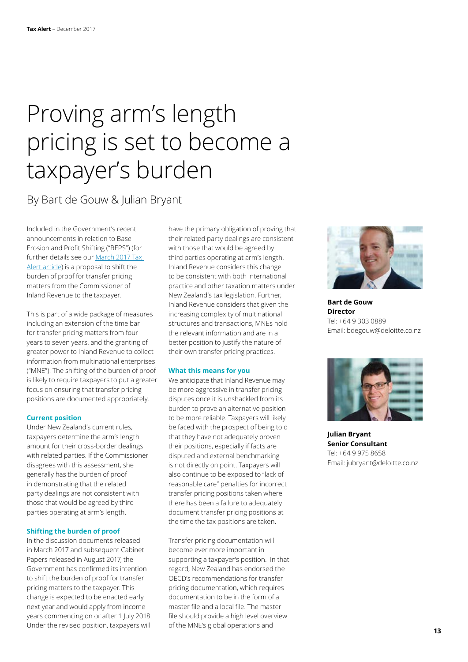## Proving arm's length pricing is set to become a taxpayer's burden

### By Bart de Gouw & Julian Bryant

Included in the Government's recent announcements in relation to Base Erosion and Profit Shifting ("BEPS") (for further details see our [March 2017 Tax](https://www2.deloitte.com/nz/en/pages/tax-alerts/articles/a-trifecta-of-beps-reforms.html)  [Alert article](https://www2.deloitte.com/nz/en/pages/tax-alerts/articles/a-trifecta-of-beps-reforms.html)) is a proposal to shift the burden of proof for transfer pricing matters from the Commissioner of Inland Revenue to the taxpayer.

This is part of a wide package of measures including an extension of the time bar for transfer pricing matters from four years to seven years, and the granting of greater power to Inland Revenue to collect information from multinational enterprises ("MNE"). The shifting of the burden of proof is likely to require taxpayers to put a greater focus on ensuring that transfer pricing positions are documented appropriately.

#### **Current position**

Under New Zealand's current rules, taxpayers determine the arm's length amount for their cross-border dealings with related parties. If the Commissioner disagrees with this assessment, she generally has the burden of proof in demonstrating that the related party dealings are not consistent with those that would be agreed by third parties operating at arm's length.

#### **Shifting the burden of proof**

In the discussion documents released in March 2017 and subsequent Cabinet Papers released in August 2017, the Government has confirmed its intention to shift the burden of proof for transfer pricing matters to the taxpayer. This change is expected to be enacted early next year and would apply from income years commencing on or after 1 July 2018. Under the revised position, taxpayers will

have the primary obligation of proving that their related party dealings are consistent with those that would be agreed by third parties operating at arm's length. Inland Revenue considers this change to be consistent with both international practice and other taxation matters under New Zealand's tax legislation. Further, Inland Revenue considers that given the increasing complexity of multinational structures and transactions, MNEs hold the relevant information and are in a better position to justify the nature of their own transfer pricing practices.

#### **What this means for you**

We anticipate that Inland Revenue may be more aggressive in transfer pricing disputes once it is unshackled from its burden to prove an alternative position to be more reliable. Taxpayers will likely be faced with the prospect of being told that they have not adequately proven their positions, especially if facts are disputed and external benchmarking is not directly on point. Taxpayers will also continue to be exposed to "lack of reasonable care" penalties for incorrect transfer pricing positions taken where there has been a failure to adequately document transfer pricing positions at the time the tax positions are taken.

Transfer pricing documentation will become ever more important in supporting a taxpayer's position. In that regard, New Zealand has endorsed the OECD's recommendations for transfer pricing documentation, which requires documentation to be in the form of a master file and a local file. The master file should provide a high level overview of the MNE's global operations and



**Bart de Gouw Director** Tel: +64 9 303 0889 Email: bdegouw@deloitte.co.nz



**Julian Bryant Senior Consultant** Tel: +64 9 975 8658 Email: jubryant@deloitte.co.nz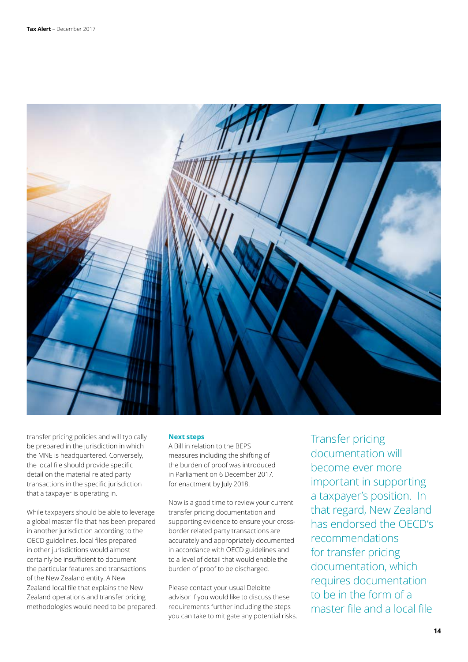

transfer pricing policies and will typically be prepared in the jurisdiction in which the MNE is headquartered. Conversely, the local file should provide specific detail on the material related party transactions in the specific jurisdiction that a taxpayer is operating in.

While taxpayers should be able to leverage a global master file that has been prepared in another jurisdiction according to the OECD guidelines, local files prepared in other jurisdictions would almost certainly be insufficient to document the particular features and transactions of the New Zealand entity. A New Zealand local file that explains the New Zealand operations and transfer pricing methodologies would need to be prepared.

#### **Next steps**

A Bill in relation to the BEPS measures including the shifting of the burden of proof was introduced in Parliament on 6 December 2017, for enactment by July 2018.

Now is a good time to review your current transfer pricing documentation and supporting evidence to ensure your crossborder related party transactions are accurately and appropriately documented in accordance with OECD guidelines and to a level of detail that would enable the burden of proof to be discharged.

Please contact your usual Deloitte advisor if you would like to discuss these requirements further including the steps you can take to mitigate any potential risks. Transfer pricing documentation will become ever more important in supporting a taxpayer's position. In that regard, New Zealand has endorsed the OECD's recommendations for transfer pricing documentation, which requires documentation to be in the form of a master file and a local file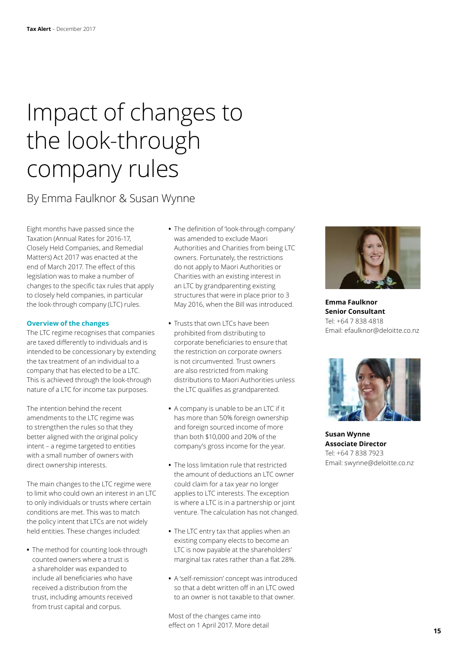## Impact of changes to the look-through company rules

### By Emma Faulknor & Susan Wynne

Eight months have passed since the Taxation (Annual Rates for 2016-17, Closely Held Companies, and Remedial Matters) Act 2017 was enacted at the end of March 2017. The effect of this legislation was to make a number of changes to the specific tax rules that apply to closely held companies, in particular the look-through company (LTC) rules.

#### **Overview of the changes**

The LTC regime recognises that companies are taxed differently to individuals and is intended to be concessionary by extending the tax treatment of an individual to a company that has elected to be a LTC. This is achieved through the look-through nature of a LTC for income tax purposes.

The intention behind the recent amendments to the LTC regime was to strengthen the rules so that they better aligned with the original policy intent – a regime targeted to entities with a small number of owners with direct ownership interests.

The main changes to the LTC regime were to limit who could own an interest in an LTC to only individuals or trusts where certain conditions are met. This was to match the policy intent that LTCs are not widely held entities. These changes included:

**•** The method for counting look-through counted owners where a trust is a shareholder was expanded to include all beneficiaries who have received a distribution from the trust, including amounts received from trust capital and corpus.

- **•** The definition of 'look-through company' was amended to exclude Maori Authorities and Charities from being LTC owners. Fortunately, the restrictions do not apply to Maori Authorities or Charities with an existing interest in an LTC by grandparenting existing structures that were in place prior to 3 May 2016, when the Bill was introduced.
- **•** Trusts that own LTCs have been prohibited from distributing to corporate beneficiaries to ensure that the restriction on corporate owners is not circumvented. Trust owners are also restricted from making distributions to Maori Authorities unless the LTC qualifies as grandparented.
- **•** A company is unable to be an LTC if it has more than 50% foreign ownership and foreign sourced income of more than both \$10,000 and 20% of the company's gross income for the year.
- **•** The loss limitation rule that restricted the amount of deductions an LTC owner could claim for a tax year no longer applies to LTC interests. The exception is where a LTC is in a partnership or joint venture. The calculation has not changed.
- **•** The LTC entry tax that applies when an existing company elects to become an LTC is now payable at the shareholders' marginal tax rates rather than a flat 28%.
- **•** A 'self-remission' concept was introduced so that a debt written off in an LTC owed to an owner is not taxable to that owner.

Most of the changes came into effect on 1 April 2017. More detail



**Emma Faulknor Senior Consultant** Tel: +64 7 838 4818 Email: efaulknor@deloitte.co.nz



**Susan Wynne Associate Director** Tel: +64 7 838 7923 Email: swynne@deloitte.co.nz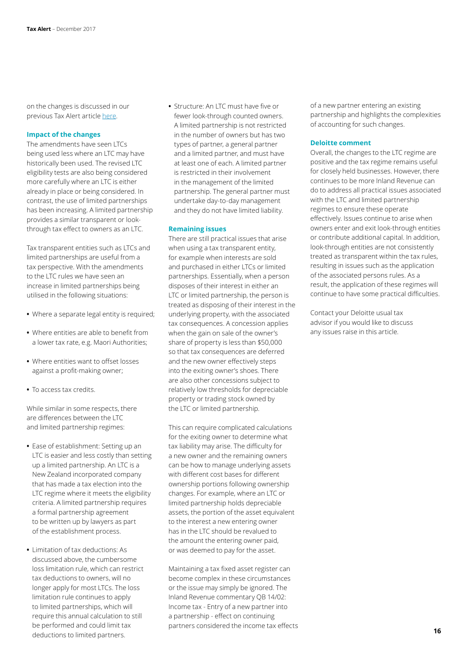on the changes is discussed in our previous Tax Alert article [here](https://www2.deloitte.com/nz/en/pages/tax-alerts/articles/closely-held-companies-changes-to-ltc-eligibility-and-tainted-capital-gains.html).

#### **Impact of the changes**

The amendments have seen LTCs being used less where an LTC may have historically been used. The revised LTC eligibility tests are also being considered more carefully where an LTC is either already in place or being considered. In contrast, the use of limited partnerships has been increasing. A limited partnership provides a similar transparent or lookthrough tax effect to owners as an LTC.

Tax transparent entities such as LTCs and limited partnerships are useful from a tax perspective. With the amendments to the LTC rules we have seen an increase in limited partnerships being utilised in the following situations:

- **•** Where a separate legal entity is required;
- **•** Where entities are able to benefit from a lower tax rate, e.g. Maori Authorities;
- **•** Where entities want to offset losses against a profit-making owner;
- **•** To access tax credits.

While similar in some respects, there are differences between the LTC and limited partnership regimes:

- **•** Ease of establishment: Setting up an LTC is easier and less costly than setting up a limited partnership. An LTC is a New Zealand incorporated company that has made a tax election into the LTC regime where it meets the eligibility criteria. A limited partnership requires a formal partnership agreement to be written up by lawyers as part of the establishment process.
- **•** Limitation of tax deductions: As discussed above, the cumbersome loss limitation rule, which can restrict tax deductions to owners, will no longer apply for most LTCs. The loss limitation rule continues to apply to limited partnerships, which will require this annual calculation to still be performed and could limit tax deductions to limited partners.

**•** Structure: An LTC must have five or fewer look-through counted owners. A limited partnership is not restricted in the number of owners but has two types of partner, a general partner and a limited partner, and must have at least one of each. A limited partner is restricted in their involvement in the management of the limited partnership. The general partner must undertake day-to-day management and they do not have limited liability.

#### **Remaining issues**

There are still practical issues that arise when using a tax transparent entity, for example when interests are sold and purchased in either LTCs or limited partnerships. Essentially, when a person disposes of their interest in either an LTC or limited partnership, the person is treated as disposing of their interest in the underlying property, with the associated tax consequences. A concession applies when the gain on sale of the owner's share of property is less than \$50,000 so that tax consequences are deferred and the new owner effectively steps into the exiting owner's shoes. There are also other concessions subject to relatively low thresholds for depreciable property or trading stock owned by the LTC or limited partnership.

This can require complicated calculations for the exiting owner to determine what tax liability may arise. The difficulty for a new owner and the remaining owners can be how to manage underlying assets with different cost bases for different ownership portions following ownership changes. For example, where an LTC or limited partnership holds depreciable assets, the portion of the asset equivalent to the interest a new entering owner has in the LTC should be revalued to the amount the entering owner paid, or was deemed to pay for the asset.

Maintaining a tax fixed asset register can become complex in these circumstances or the issue may simply be ignored. The Inland Revenue commentary QB 14/02: Income tax - Entry of a new partner into a partnership - effect on continuing partners considered the income tax effects of a new partner entering an existing partnership and highlights the complexities of accounting for such changes.

#### **Deloitte comment**

Overall, the changes to the LTC regime are positive and the tax regime remains useful for closely held businesses. However, there continues to be more Inland Revenue can do to address all practical issues associated with the LTC and limited partnership regimes to ensure these operate effectively. Issues continue to arise when owners enter and exit look-through entities or contribute additional capital. In addition, look-through entities are not consistently treated as transparent within the tax rules, resulting in issues such as the application of the associated persons rules. As a result, the application of these regimes will continue to have some practical difficulties.

Contact your Deloitte usual tax advisor if you would like to discuss any issues raise in this article.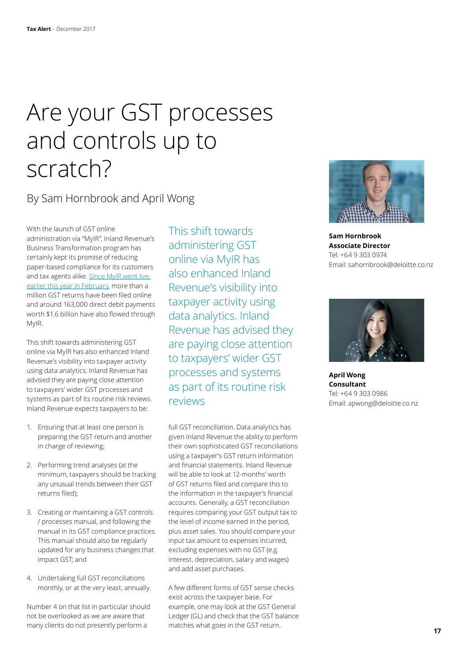## Are your GST processes and controls up to scratch?

### By Sam Hornbrook and April Wong

With the launch of GST online administration via "MyIR", Inland Revenue's Business Transformation program has certainly kept its promise of reducing paper-based compliance for its customers and tax agents alike. [Since MyIR went live](http://www.scoop.co.nz/stories/BU1710/S00682/ditch-the-paper-and-file-gst-online.htm)  [earlier this year in February](http://www.scoop.co.nz/stories/BU1710/S00682/ditch-the-paper-and-file-gst-online.htm), more than a million GST returns have been filed online and around 163,000 direct debit payments worth \$1.6 billion have also flowed through MyIR.

This shift towards administering GST online via MyIR has also enhanced Inland Revenue's visibility into taxpayer activity using data analytics. Inland Revenue has advised they are paying close attention to taxpayers' wider GST processes and systems as part of its routine risk reviews. Inland Revenue expects taxpayers to be:

- 1. Ensuring that at least one person is preparing the GST return and another in charge of reviewing;
- 2. Performing trend analyses (at the minimum, taxpayers should be tracking any unusual trends between their GST returns filed);
- 3. Creating or maintaining a GST controls / processes manual, and following the manual in its GST compliance practices. This manual should also be regularly updated for any business changes that impact GST; and
- 4. Undertaking full GST reconciliations monthly, or at the very least, annually.

Number 4 on that list in particular should not be overlooked as we are aware that many clients do not presently perform a

This shift towards administering GST online via MyIR has also enhanced Inland Revenue's visibility into taxpayer activity using data analytics. Inland Revenue has advised they are paying close attention to taxpayers' wider GST processes and systems as part of its routine risk reviews

full GST reconciliation. Data analytics has given Inland Revenue the ability to perform their own sophisticated GST reconciliations using a taxpayer's GST return information and financial statements. Inland Revenue will be able to look at 12-months' worth of GST returns filed and compare this to the information in the taxpayer's financial accounts. Generally, a GST reconciliation requires comparing your GST output tax to the level of income earned in the period, plus asset sales. You should compare your input tax amount to expenses incurred, excluding expenses with no GST (e.g. interest, depreciation, salary and wages) and add asset purchases.

A few different forms of GST sense checks exist across the taxpayer base. For example, one may look at the GST General Ledger (GL) and check that the GST balance matches what goes in the GST return.



**Sam Hornbrook Associate Director** Tel: +64 9 303 0974 Email: sahornbrook@deloitte.co.nz



**April Wong Consultant** Tel: +64 9 303 0986 Email: apwong@deloitte.co.nz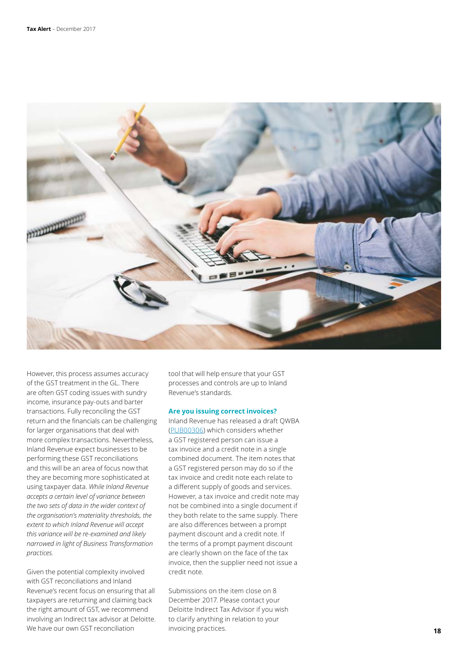

However, this process assumes accuracy of the GST treatment in the GL. There are often GST coding issues with sundry income, insurance pay-outs and barter transactions. Fully reconciling the GST return and the financials can be challenging for larger organisations that deal with more complex transactions. Nevertheless, Inland Revenue expect businesses to be performing these GST reconciliations and this will be an area of focus now that they are becoming more sophisticated at using taxpayer data. *While Inland Revenue accepts a certain level of variance between the two sets of data in the wider context of the organisation's materiality thresholds, the extent to which Inland Revenue will accept this variance will be re-examined and likely narrowed in light of Business Transformation practices.* 

Given the potential complexity involved with GST reconciliations and Inland Revenue's recent focus on ensuring that all taxpayers are returning and claiming back the right amount of GST, we recommend involving an Indirect tax advisor at Deloitte. We have our own GST reconciliation

tool that will help ensure that your GST processes and controls are up to Inland Revenue's standards.

#### **Are you issuing correct invoices?**

Inland Revenue has released a draft QWBA ([PUB00306\)](http://www.ird.govt.nz/public-consultation/current/public-consultation-pub00306.html) which considers whether a GST registered person can issue a tax invoice and a credit note in a single combined document. The item notes that a GST registered person may do so if the tax invoice and credit note each relate to a different supply of goods and services. However, a tax invoice and credit note may not be combined into a single document if they both relate to the same supply. There are also differences between a prompt payment discount and a credit note. If the terms of a prompt payment discount are clearly shown on the face of the tax invoice, then the supplier need not issue a credit note.

Submissions on the item close on 8 December 2017. Please contact your Deloitte Indirect Tax Advisor if you wish to clarify anything in relation to your invoicing practices.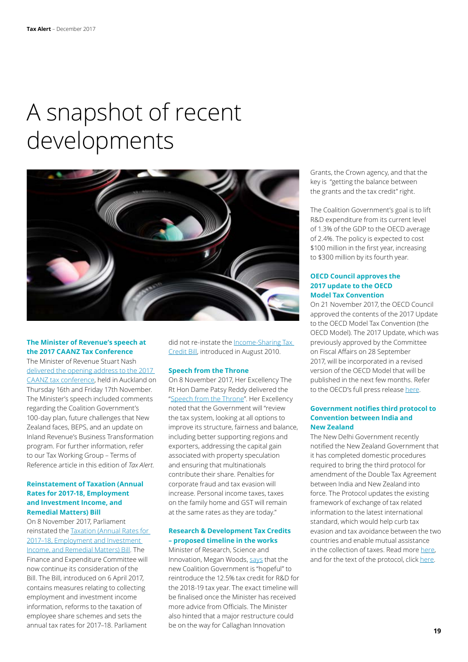## A snapshot of recent developments



#### **The Minister of Revenue's speech at the 2017 CAANZ Tax Conference**

The Minister of Revenue Stuart Nash delivered the opening address to the 2017 [CAANZ tax conference](https://www.beehive.govt.nz/speech/opening-address-chartered-accountants-australia-new-zealand-annual-tax-conference-2017), held in Auckland on Thursday 16th and Friday 17th November. The Minister's speech included comments regarding the Coalition Government's 100-day plan, future challenges that New Zealand faces, BEPS, and an update on Inland Revenue's Business Transformation program. For further information, refer to our Tax Working Group – Terms of Reference article in this edition of *Tax Alert*.

#### **Reinstatement of Taxation (Annual Rates for 2017-18, Employment and Investment Income, and Remedial Matters) Bill**

On 8 November 2017, Parliament reinstated the [Taxation \(Annual Rates for](http://a.ir.smartmailpro.com/link/fnikhjs1/amxyaeytb)  [2017–18, Employment and Investment](http://a.ir.smartmailpro.com/link/fnikhjs1/amxyaeytb)  [Income, and Remedial Matters\) Bill](http://a.ir.smartmailpro.com/link/fnikhjs1/amxyaeytb). The Finance and Expenditure Committee will now continue its consideration of the Bill. The Bill, introduced on 6 April 2017, contains measures relating to collecting employment and investment income information, reforms to the taxation of employee share schemes and sets the annual tax rates for 2017–18. Parliament

did not re-instate the [Income-Sharing Tax](http://taxpolicy.ird.govt.nz/bills/185-1)  [Credit Bill](http://taxpolicy.ird.govt.nz/bills/185-1), introduced in August 2010.

#### **Speech from the Throne**

On 8 November 2017, Her Excellency The Rt Hon Dame Patsy Reddy delivered the ["Speech from the Throne](https://www.beehive.govt.nz/speech/speech-throne-2017)". Her Excellency noted that the Government will "review the tax system, looking at all options to improve its structure, fairness and balance, including better supporting regions and exporters, addressing the capital gain associated with property speculation and ensuring that multinationals contribute their share. Penalties for corporate fraud and tax evasion will increase. Personal income taxes, taxes on the family home and GST will remain at the same rates as they are today."

#### **Research & Development Tax Credits – proposed timeline in the works**

Minister of Research, Science and Innovation, Megan Woods, [says](https://www.nbr.co.nz/article/woods-puts-timeline-rd-tax-break-ck-p-209632) that the new Coalition Government is "hopeful" to reintroduce the 12.5% tax credit for R&D for the 2018-19 tax year. The exact timeline will be finalised once the Minister has received more advice from Officials. The Minister also hinted that a major restructure could be on the way for Callaghan Innovation

Grants, the Crown agency, and that the key is "getting the balance between the grants and the tax credit" right.

The Coalition Government's goal is to lift R&D expenditure from its current level of 1.3% of the GDP to the OECD average of 2.4%. The policy is expected to cost \$100 million in the first year, increasing to \$300 million by its fourth year.

#### **OECD Council approves the 2017 update to the OECD Model Tax Convention**

On 21 November 2017, the OECD Council approved the contents of the 2017 Update to the OECD Model Tax Convention (the OECD Model). The 2017 Update, which was previously approved by the Committee on Fiscal Affairs on 28 September 2017, will be incorporated in a revised version of the OECD Model that will be published in the next few months. Refer to the OECD's full press release [here](http://www.oecd.org/tax/treaties/oecd-approves-2017-update-model-tax-convention.htm?utm_source=Adestra&utm_medium=email&utm_content=Read%20the%20press%20release&utm_campaign=Tax%20News%20Alert%2023-11-2017&utm_term=demo).

#### **Government notifies third protocol to Convention between India and New Zealand**

The New Delhi Government recently notified the New Zealand Government that it has completed domestic procedures required to bring the third protocol for amendment of the Double Tax Agreement between India and New Zealand into force. The Protocol updates the existing framework of exchange of tax related information to the latest international standard, which would help curb tax evasion and tax avoidance between the two countries and enable mutual assistance in the collection of taxes. Read more [here,](http://www.uniindia.com/govt-notifies-third-protocol-to-convention-between-india-and-new-zealand/india/news/1040229.html) and for the text of the protocol, click [here](http://legislation.govt.nz/regulation/public/2017/0208/13.0/whole.html).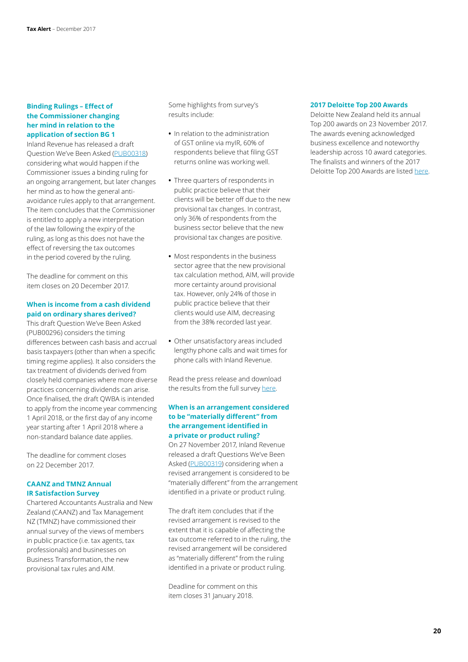#### **Binding Rulings – Effect of the Commissioner changing her mind in relation to the application of section BG 1**

Inland Revenue has released a draft Question We've Been Asked [\(PUB00318\)](http://www.ird.govt.nz/public-consultation/current/public-consultation-pub00318.html) considering what would happen if the Commissioner issues a binding ruling for an ongoing arrangement, but later changes her mind as to how the general antiavoidance rules apply to that arrangement. The item concludes that the Commissioner is entitled to apply a new interpretation of the law following the expiry of the ruling, as long as this does not have the effect of reversing the tax outcomes in the period covered by the ruling.

The deadline for comment on this item closes on 20 December 2017.

#### **When is income from a cash dividend paid on ordinary shares derived?**

This draft Question We've Been Asked (PUB00296) considers the timing differences between cash basis and accrual basis taxpayers (other than when a specific timing regime applies). It also considers the tax treatment of dividends derived from closely held companies where more diverse practices concerning dividends can arise. Once finalised, the draft QWBA is intended to apply from the income year commencing 1 April 2018, or the first day of any income year starting after 1 April 2018 where a non-standard balance date applies.

The deadline for comment closes on 22 December 2017.

#### **CAANZ and TMNZ Annual IR Satisfaction Survey**

Chartered Accountants Australia and New Zealand (CAANZ) and Tax Management NZ (TMNZ) have commissioned their annual survey of the views of members in public practice (i.e. tax agents, tax professionals) and businesses on Business Transformation, the new provisional tax rules and AIM.

Some highlights from survey's results include:

- **•** In relation to the administration of GST online via myIR, 60% of respondents believe that filing GST returns online was working well.
- **•** Three quarters of respondents in public practice believe that their clients will be better off due to the new provisional tax changes. In contrast, only 36% of respondents from the business sector believe that the new provisional tax changes are positive.
- **•** Most respondents in the business sector agree that the new provisional tax calculation method, AIM, will provide more certainty around provisional tax. However, only 24% of those in public practice believe that their clients would use AIM, decreasing from the 38% recorded last year.
- **•** Other unsatisfactory areas included lengthy phone calls and wait times for phone calls with Inland Revenue.

Read the press release and download the results from the full survey [here](https://www.charteredaccountantsanz.com/news-and-analysis/media-centre/press-releases/chartered-accountants-want-training-from-ir-ahead-of-tax-system-changes).

#### **When is an arrangement considered to be "materially different" from the arrangement identified in a private or product ruling?**

On 27 November 2017, Inland Revenue released a draft Questions We've Been Asked [\(PUB00319](http://nzwired/tax_and_private/Documents/2017 Weekly Highlights/46-PUB00319.docx?d=wa0c232caf8664752acd843b03c39c048)) considering when a revised arrangement is considered to be "materially different" from the arrangement identified in a private or product ruling.

The draft item concludes that if the revised arrangement is revised to the extent that it is capable of affecting the tax outcome referred to in the ruling, the revised arrangement will be considered as "materially different" from the ruling identified in a private or product ruling.

Deadline for comment on this item closes 31 January 2018.

#### **2017 Deloitte Top 200 Awards**

Deloitte New Zealand held its annual Top 200 awards on 23 November 2017. The awards evening acknowledged business excellence and noteworthy leadership across 10 award categories. The finalists and winners of the 2017 Deloitte Top 200 Awards are listed [here](https://www2.deloitte.com/nz/en/footerlinks/pressreleasespage/2017-deloitte-top-200-awards.html).